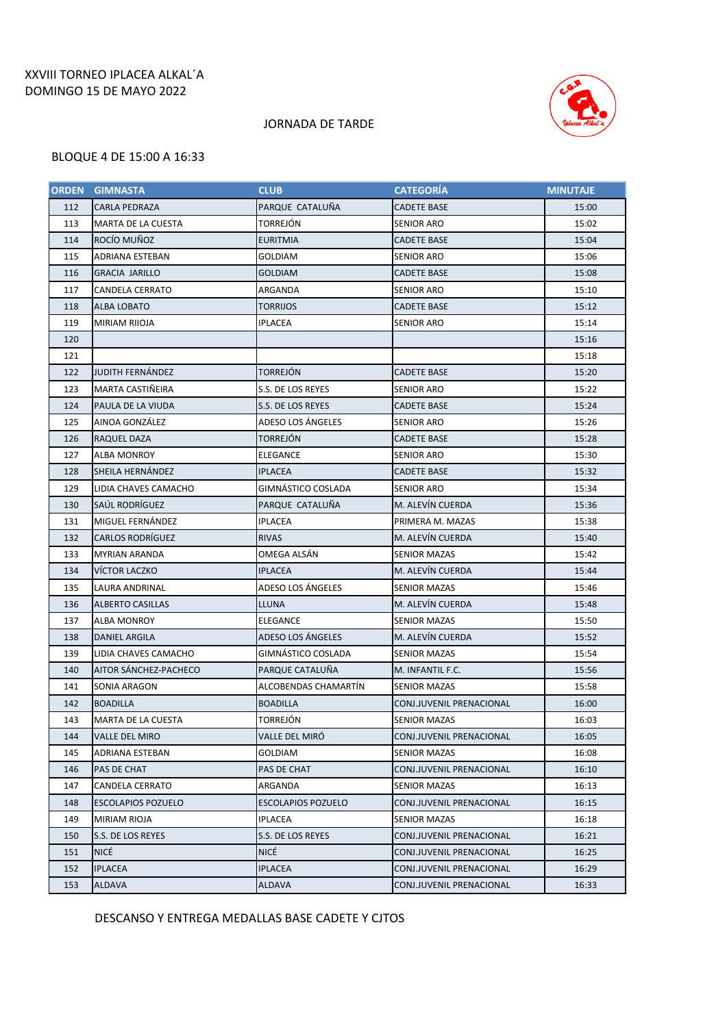## XXVIII TORNEO IPLACEA ALKAL´A DOMINGO 15 DE MAYO 2022

### JORNADA DE TARDE



### BLOQUE 4 DE 15:00 A 16:33

| <b>ORDEN</b> | <b>GIMNASTA</b>           | <b>CLUB</b>               | <b>CATEGORÍA</b>         | <b>MINUTAJE</b> |
|--------------|---------------------------|---------------------------|--------------------------|-----------------|
| 112          | <b>CARLA PEDRAZA</b>      | PARQUE CATALUÑA           | <b>CADETE BASE</b>       | 15:00           |
| 113          | MARTA DE LA CUESTA        | TORREJÓN                  | <b>SENIOR ARO</b>        | 15:02           |
| 114          | ROCÍO MUÑOZ               | <b>EURITMIA</b>           | <b>CADETE BASE</b>       | 15:04           |
| 115          | ADRIANA ESTEBAN           | GOLDIAM                   | <b>SENIOR ARO</b>        | 15:06           |
| 116          | <b>GRACIA JARILLO</b>     | GOLDIAM                   | <b>CADETE BASE</b>       | 15:08           |
| 117          | CANDELA CERRATO           | ARGANDA                   | <b>SENIOR ARO</b>        | 15:10           |
| 118          | ALBA LOBATO               | <b>TORRIJOS</b>           | <b>CADETE BASE</b>       | 15:12           |
| 119          | MIRIAM RIIOJA             | <b>IPLACEA</b>            | SENIOR ARO               | 15:14           |
| 120          |                           |                           |                          | 15:16           |
| 121          |                           |                           |                          | 15:18           |
| 122          | <b>JUDITH FERNÁNDEZ</b>   | <b>TORREJÓN</b>           | <b>CADETE BASE</b>       | 15:20           |
| 123          | MARTA CASTIÑEIRA          | S.S. DE LOS REYES         | SENIOR ARO               | 15:22           |
| 124          | PAULA DE LA VIUDA         | S.S. DE LOS REYES         | <b>CADETE BASE</b>       | 15:24           |
| 125          | AINOA GONZÁLEZ            | ADESO LOS ÁNGELES         | <b>SENIOR ARO</b>        | 15:26           |
| 126          | RAQUEL DAZA               | TORREJÓN                  | <b>CADETE BASE</b>       | 15:28           |
| 127          | ALBA MONROY               | ELEGANCE                  | SENIOR ARO               | 15:30           |
| 128          | SHEILA HERNÁNDEZ          | IPLACEA                   | <b>CADETE BASE</b>       | 15:32           |
| 129          | LIDIA CHAVES CAMACHO      | GIMNÁSTICO COSLADA        | <b>SENIOR ARO</b>        | 15:34           |
| 130          | SAÚL RODRÍGUEZ            | PARQUE CATALUÑA           | M. ALEVÍN CUERDA         | 15:36           |
| 131          | MIGUEL FERNÁNDEZ          | IPLACEA                   | PRIMERA M. MAZAS         | 15:38           |
| 132          | <b>CARLOS RODRÍGUEZ</b>   | <b>RIVAS</b>              | M. ALEVÍN CUERDA         | 15:40           |
| 133          | MYRIAN ARANDA             | OMEGA ALSÁN               | <b>SENIOR MAZAS</b>      | 15:42           |
| 134          | VÍCTOR LACZKO             | IPLACEA                   | M. ALEVIN CUERDA         | 15:44           |
| 135          | LAURA ANDRINAL            | ADESO LOS ÁNGELES         | <b>SENIOR MAZAS</b>      | 15:46           |
| 136          | <b>ALBERTO CASILLAS</b>   | LLUNA                     | M. ALEVÍN CUERDA         | 15:48           |
| 137          | ALBA MONROY               | ELEGANCE                  | <b>SENIOR MAZAS</b>      | 15:50           |
| 138          | DANIEL ARGILA             | ADESO LOS ÁNGELES         | M. ALEVÍN CUERDA         | 15:52           |
| 139          | LIDIA CHAVES CAMACHO      | GIMNÁSTICO COSLADA        | <b>SENIOR MAZAS</b>      | 15:54           |
| 140          | AITOR SÁNCHEZ-PACHECO     | PARQUE CATALUÑA           | M. INFANTIL F.C.         | 15:56           |
| 141          | SONIA ARAGON              | ALCOBENDAS CHAMARTÍN      | <b>SENIOR MAZAS</b>      | 15:58           |
| 142          | <b>BOADILLA</b>           | <b>BOADILLA</b>           | CONJ.JUVENIL PRENACIONAL | 16:00           |
| 143          | MARTA DE LA CUESTA        | TORREJÓN                  | SENIOR MAZAS             | 16:03           |
| 144          | VALLE DEL MIRO            | VALLE DEL MIRO            | CONJ.JUVENIL PRENACIONAL | 16:05           |
| 145          | ADRIANA ESTEBAN           | <b>GOLDIAM</b>            | <b>SENIOR MAZAS</b>      | 16:08           |
| 146          | PAS DE CHAT               | PAS DE CHAT               | CONJ.JUVENIL PRENACIONAL | 16:10           |
| 147          | CANDELA CERRATO           | ARGANDA                   | <b>SENIOR MAZAS</b>      | 16:13           |
| 148          | <b>ESCOLAPIOS POZUELO</b> | <b>ESCOLAPIOS POZUELO</b> | CONJ.JUVENIL PRENACIONAL | 16:15           |
| 149          | MIRIAM RIOJA              | IPLACEA                   | <b>SENIOR MAZAS</b>      | 16:18           |
| 150          | S.S. DE LOS REYES         | S.S. DE LOS REYES         | CONJ.JUVENIL PRENACIONAL | 16:21           |
| 151          | <b>NICÉ</b>               | NICÉ                      | CONJ.JUVENIL PRENACIONAL | 16:25           |
| 152          | <b>IPLACEA</b>            | IPLACEA                   | CONJ.JUVENIL PRENACIONAL | 16:29           |
| 153          | <b>ALDAVA</b>             | ALDAVA                    | CONJ.JUVENIL PRENACIONAL | 16:33           |

DESCANSO Y ENTREGA MEDALLAS BASE CADETE Y CJTOS